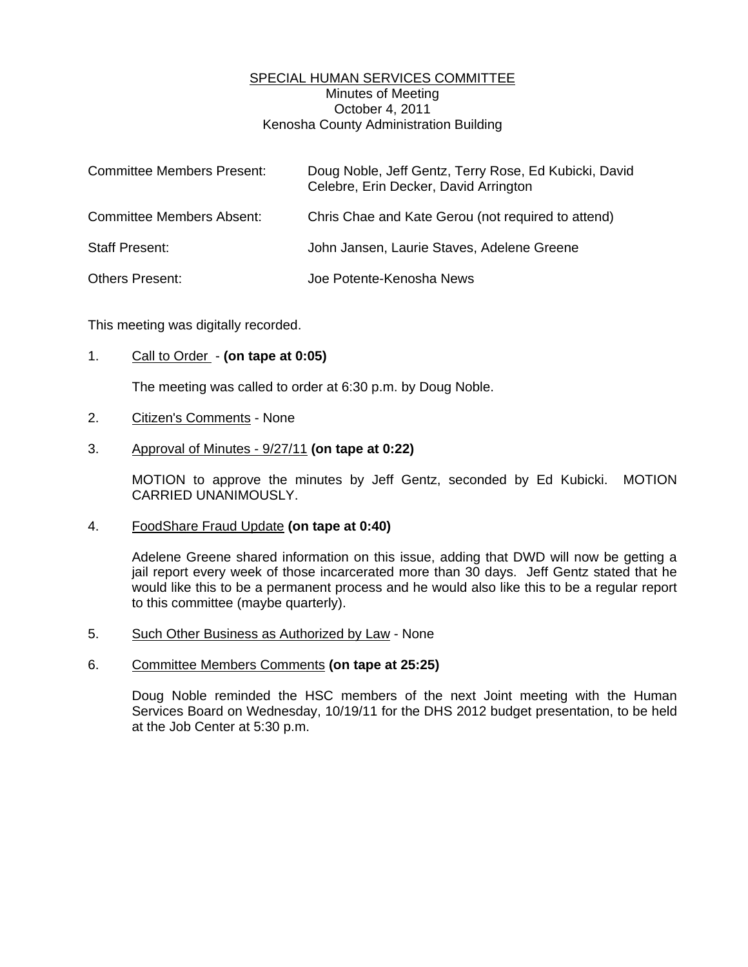## SPECIAL HUMAN SERVICES COMMITTEE Minutes of Meeting October 4, 2011 Kenosha County Administration Building

| <b>Committee Members Present:</b> | Doug Noble, Jeff Gentz, Terry Rose, Ed Kubicki, David<br>Celebre, Erin Decker, David Arrington |
|-----------------------------------|------------------------------------------------------------------------------------------------|
| <b>Committee Members Absent:</b>  | Chris Chae and Kate Gerou (not required to attend)                                             |
| <b>Staff Present:</b>             | John Jansen, Laurie Staves, Adelene Greene                                                     |
| <b>Others Present:</b>            | Joe Potente-Kenosha News                                                                       |

This meeting was digitally recorded.

## 1. Call to Order - **(on tape at 0:05)**

The meeting was called to order at 6:30 p.m. by Doug Noble.

## 2. Citizen's Comments - None

#### 3. Approval of Minutes - 9/27/11 **(on tape at 0:22)**

 MOTION to approve the minutes by Jeff Gentz, seconded by Ed Kubicki. MOTION CARRIED UNANIMOUSLY.

#### 4. FoodShare Fraud Update **(on tape at 0:40)**

 Adelene Greene shared information on this issue, adding that DWD will now be getting a jail report every week of those incarcerated more than 30 days. Jeff Gentz stated that he would like this to be a permanent process and he would also like this to be a regular report to this committee (maybe quarterly).

- 5. Such Other Business as Authorized by Law None
- 6. Committee Members Comments **(on tape at 25:25)**

 Doug Noble reminded the HSC members of the next Joint meeting with the Human Services Board on Wednesday, 10/19/11 for the DHS 2012 budget presentation, to be held at the Job Center at 5:30 p.m.